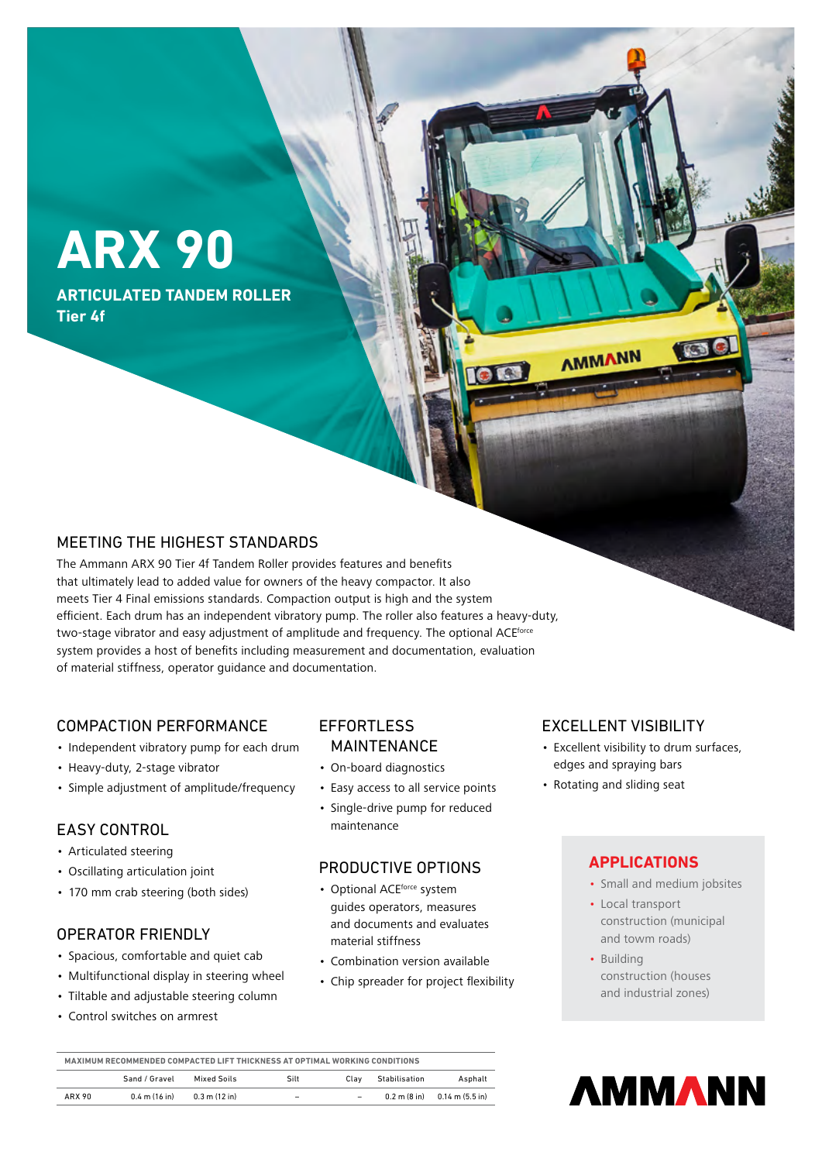# **ARX 90**

**ARTICULATED TANDEM ROLLER Tier 4f**

## MEETING THE HIGHEST STANDARDS

The Ammann ARX 90 Tier 4f Tandem Roller provides features and benefits that ultimately lead to added value for owners of the heavy compactor. It also meets Tier 4 Final emissions standards. Compaction output is high and the system efficient. Each drum has an independent vibratory pump. The roller also features a heavy-duty, two-stage vibrator and easy adjustment of amplitude and frequency. The optional ACE<sup>force</sup> system provides a host of benefits including measurement and documentation, evaluation of material stiffness, operator guidance and documentation.

### COMPACTION PERFORMANCE

- Independent vibratory pump for each drum
- Heavy-duty, 2-stage vibrator
- Simple adjustment of amplitude/frequency

## EASY CONTROL

- Articulated steering
- Oscillating articulation joint
- 170 mm crab steering (both sides)

## OPERATOR FRIENDLY

- Spacious, comfortable and quiet cab
- Multifunctional display in steering wheel
- Tiltable and adjustable steering column
- Control switches on armrest

# **EFFORTLESS**

## MAINTENANCE

- On-board diagnostics
- Easy access to all service points
- Single-drive pump for reduced maintenance

## PRODUCTIVE OPTIONS

- Optional ACEforce system guides operators, measures and documents and evaluates material stiffness
- Combination version available
- Chip spreader for project flexibility

## EXCELLENT VISIBILITY

- Excellent visibility to drum surfaces, edges and spraying bars
- Rotating and sliding seat

## **APPLICATIONS**

- Small and medium jobsites
- Local transport construction (municipal and towm roads)
- Building construction (houses and industrial zones)

| MAXIMUM RECOMMENDED COMPACTED LIFT THICKNESS AT OPTIMAL WORKING CONDITIONS |                 |                 |                          |                          |               |                                                                  |
|----------------------------------------------------------------------------|-----------------|-----------------|--------------------------|--------------------------|---------------|------------------------------------------------------------------|
|                                                                            | Sand / Gravel   | Mixed Soils     | Silt                     | Clav                     | Stabilisation | Asphalt                                                          |
| ARX 90                                                                     | $0.4$ m (16 in) | $0.3$ m (12 in) | $\overline{\phantom{0}}$ | $\overline{\phantom{a}}$ |               | $0.2 \text{ m} (8 \text{ in})$ $0.14 \text{ m} (5.5 \text{ in})$ |